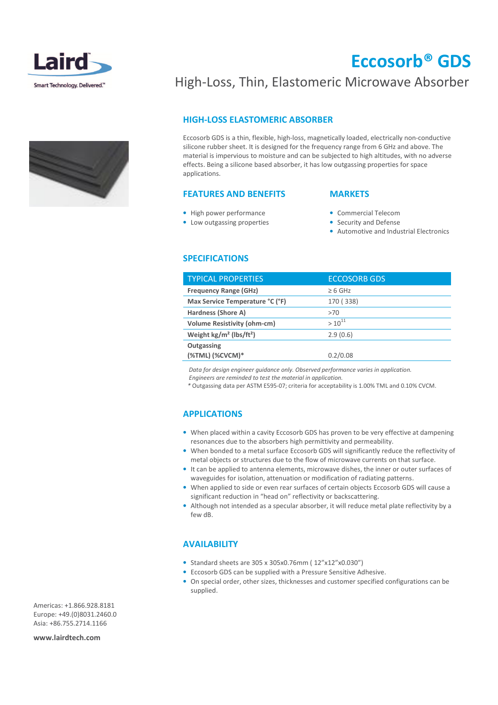



# Eccosorb® GDS

### High-Loss, Thin, Elastomeric Microwave Absorber

### HIGH-LOSS ELASTOMERIC ABSORBER

Eccosorb GDS is a thin, flexible, high-loss, magnetically loaded, electrically non-conductive silicone rubber sheet. It is designed for the frequency range from 6 GHz and above. The material is impervious to moisture and can be subjected to high altitudes, with no adverse effects. Being a silicone based absorber, it has low outgassing properties for space applications.

#### FEATURES AND BENEFITS

• High power performance • Low outgassing properties

#### **MARKETS**

- Commercial Telecom
- Security and Defense
- Automotive and Industrial Electronics

#### SPECIFICATIONS

| <b>TYPICAL PROPERTIES</b>                     | <b>ECCOSORB GDS</b> |
|-----------------------------------------------|---------------------|
| <b>Frequency Range (GHz)</b>                  | $\geq 6$ GHz        |
| Max Service Temperature °C (°F)               | 170 (338)           |
| Hardness (Shore A)                            | >70                 |
| <b>Volume Resistivity (ohm-cm)</b>            | $>10^{11}$          |
| Weight $\text{kg/m}^2$ (lbs/ft <sup>2</sup> ) | 2.9(0.6)            |
| Outgassing                                    |                     |
| (%TML) (%CVCM)*                               | 0.2/0.08            |

 Data for design engineer guidance only. Observed performance varies in application. Engineers are reminded to test the material in application.

\* Outgassing data per ASTM E595-07; criteria for acceptability is 1.00% TML and 0.10% CVCM.

#### APPLICATIONS

- When placed within a cavity Eccosorb GDS has proven to be very effective at dampening resonances due to the absorbers high permittivity and permeability.
- When bonded to a metal surface Eccosorb GDS will significantly reduce the reflectivity of metal objects or structures due to the flow of microwave currents on that surface.
- It can be applied to antenna elements, microwave dishes, the inner or outer surfaces of waveguides for isolation, attenuation or modification of radiating patterns.
- When applied to side or even rear surfaces of certain objects Eccosorb GDS will cause a significant reduction in "head on" reflectivity or backscattering.
- Although not intended as a specular absorber, it will reduce metal plate reflectivity by a few dB.

#### AVAILABILITY

- Standard sheets are 305 x 305x0.76mm ( 12"x12"x0.030")
- Eccosorb GDS can be supplied with a Pressure Sensitive Adhesive.
- On special order, other sizes, thicknesses and customer specified configurations can be supplied.

Americas: +1.866.928.8181 Europe: +49.(0)8031.2460.0 Asia: +86.755.2714.1166

www.lairdtech.com